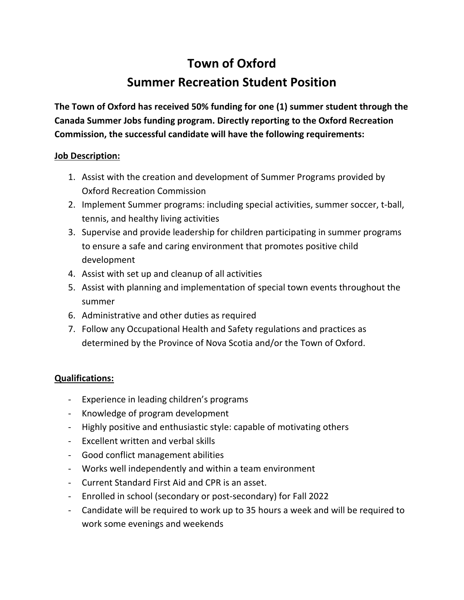## **Town of Oxford**

## **Summer Recreation Student Position**

**The Town of Oxford has received 50% funding for one (1) summer student through the Canada Summer Jobs funding program. Directly reporting to the Oxford Recreation Commission, the successful candidate will have the following requirements:**

## **Job Description:**

- 1. Assist with the creation and development of Summer Programs provided by Oxford Recreation Commission
- 2. Implement Summer programs: including special activities, summer soccer, t-ball, tennis, and healthy living activities
- 3. Supervise and provide leadership for children participating in summer programs to ensure a safe and caring environment that promotes positive child development
- 4. Assist with set up and cleanup of all activities
- 5. Assist with planning and implementation of special town events throughout the summer
- 6. Administrative and other duties as required
- 7. Follow any Occupational Health and Safety regulations and practices as determined by the Province of Nova Scotia and/or the Town of Oxford.

## **Qualifications:**

- Experience in leading children's programs
- Knowledge of program development
- Highly positive and enthusiastic style: capable of motivating others
- Excellent written and verbal skills
- Good conflict management abilities
- Works well independently and within a team environment
- Current Standard First Aid and CPR is an asset.
- Enrolled in school (secondary or post-secondary) for Fall 2022
- Candidate will be required to work up to 35 hours a week and will be required to work some evenings and weekends